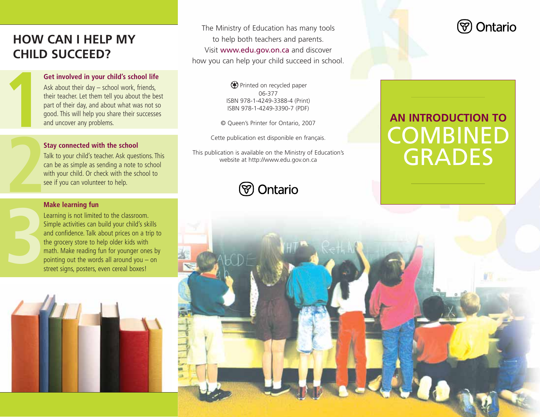## **HOW CAN I HELP MY CHILD SUCCEED?**

**1**

**3**

### **Get involved in your child's school life**

Ask about their day – school work, friends, their teacher. Let them tell you about the best part of their day, and about what was not so good. This will help you share their successes and uncover any problems.

#### **Stay connected with the school**

Talk to your child's teacher. Ask questions. This can be as simple as sending a note to school with your child. Or check with the school to see if you can volunteer to help.

#### **Make learning fun**

Learning is not limited to the classroom. Simple activities can build your child's skills and confidence. Talk about prices on a trip to the grocery store to help older kids with math. Make reading fun for younger ones by pointing out the words all around you – on street signs, posters, even cereal boxes!



The Ministry of Education has many tools to help both teachers and parents. Visit www.edu.gov.on.ca and discover how you can help your child succeed in school.

> Printed on recycled paper 06-377 ISBN 978-1-4249-3388-4 (Print) ISBN 978-1-4249-3390-7 (PDF)

© Queen's Printer for Ontario, 2007

Cette publication est disponible en français.

This publication is available on the Ministry of Education's website at http://www.edu.gov.on.ca





# **AN INTRODUCTION TO** COMBINED GRADES